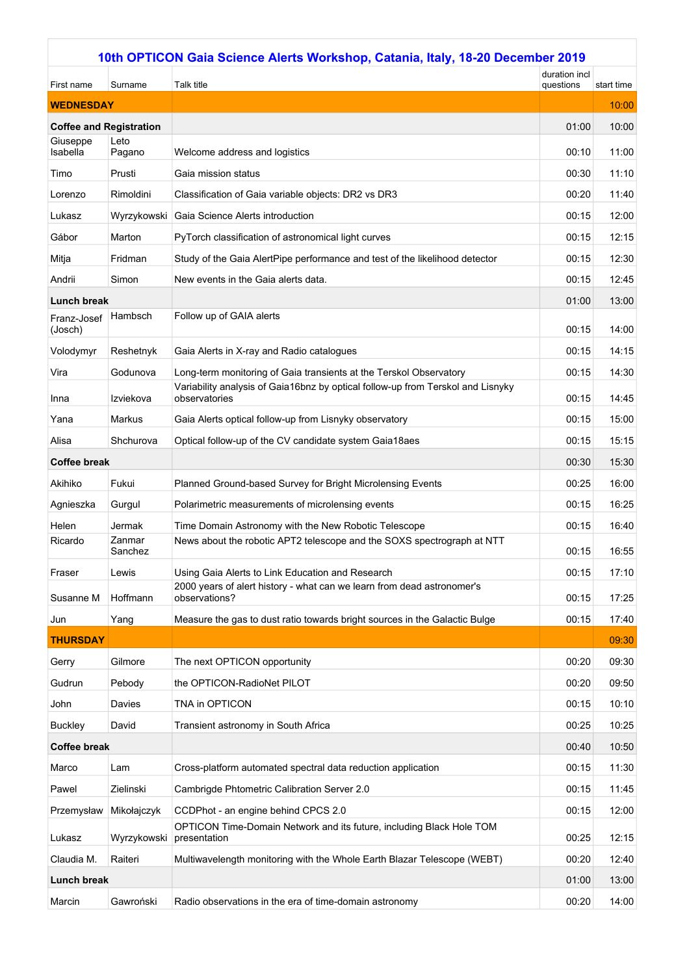## **10th OPTICON Gaia Science Alerts Workshop, Catania, Italy, 18-20 December 2019**

| First name                     | Surname           | <b>Talk title</b>                                                                                | duration incl<br>questions | start time |
|--------------------------------|-------------------|--------------------------------------------------------------------------------------------------|----------------------------|------------|
| <b>WEDNESDAY</b>               |                   |                                                                                                  |                            | 10:00      |
| <b>Coffee and Registration</b> |                   |                                                                                                  | 01:00                      | 10:00      |
| Giuseppe<br>Isabella           | Leto<br>Pagano    | Welcome address and logistics                                                                    | 00:10                      | 11:00      |
| Timo                           | Prusti            | Gaia mission status                                                                              | 00:30                      | 11:10      |
| Lorenzo                        | Rimoldini         | Classification of Gaia variable objects: DR2 vs DR3                                              | 00:20                      | 11:40      |
| Lukasz                         | Wyrzykowski       | Gaia Science Alerts introduction                                                                 | 00:15                      | 12:00      |
| Gábor                          | Marton            | PyTorch classification of astronomical light curves                                              | 00:15                      | 12:15      |
| Mitja                          | Fridman           | Study of the Gaia AlertPipe performance and test of the likelihood detector                      | 00:15                      | 12:30      |
| Andrii                         | Simon             | New events in the Gaia alerts data.                                                              | 00:15                      | 12:45      |
| <b>Lunch break</b>             |                   |                                                                                                  | 01:00                      | 13:00      |
| Franz-Josef<br>(Josch)         | Hambsch           | Follow up of GAIA alerts                                                                         | 00:15                      | 14:00      |
| Volodymyr                      | Reshetnyk         | Gaia Alerts in X-ray and Radio catalogues                                                        | 00:15                      | 14:15      |
| Vira                           | Godunova          | Long-term monitoring of Gaia transients at the Terskol Observatory                               | 00:15                      | 14:30      |
| Inna                           | Izviekova         | Variability analysis of Gaia16bnz by optical follow-up from Terskol and Lisnyky<br>observatories | 00:15                      | 14:45      |
| Yana                           | Markus            | Gaia Alerts optical follow-up from Lisnyky observatory                                           | 00:15                      | 15:00      |
| Alisa                          | Shchurova         | Optical follow-up of the CV candidate system Gaia18aes                                           | 00:15                      | 15:15      |
| <b>Coffee break</b>            |                   |                                                                                                  | 00:30                      | 15:30      |
| Akihiko                        | Fukui             | Planned Ground-based Survey for Bright Microlensing Events                                       | 00:25                      | 16:00      |
| Agnieszka                      | Gurgul            | Polarimetric measurements of microlensing events                                                 | 00:15                      | 16:25      |
| Helen                          | Jermak            | Time Domain Astronomy with the New Robotic Telescope                                             | 00:15                      | 16:40      |
| Ricardo                        | Zanmar<br>Sanchez | News about the robotic APT2 telescope and the SOXS spectrograph at NTT                           | 00:15                      | 16:55      |
| Fraser                         | Lewis             | Using Gaia Alerts to Link Education and Research                                                 | 00:15                      | 17:10      |
| Susanne M                      | Hoffmann          | 2000 years of alert history - what can we learn from dead astronomer's<br>observations?          | 00:15                      | 17:25      |
| Jun                            | Yang              | Measure the gas to dust ratio towards bright sources in the Galactic Bulge                       | 00:15                      | 17:40      |
| <b>THURSDAY</b>                |                   |                                                                                                  |                            | 09:30      |
| Gerry                          | Gilmore           | The next OPTICON opportunity                                                                     | 00:20                      | 09:30      |
| Gudrun                         | Pebody            | the OPTICON-RadioNet PILOT                                                                       | 00:20                      | 09:50      |
| John                           | Davies            | TNA in OPTICON                                                                                   | 00:15                      | 10:10      |
| <b>Buckley</b>                 | David             | Transient astronomy in South Africa                                                              | 00:25                      | 10:25      |
| <b>Coffee break</b>            |                   |                                                                                                  | 00:40                      | 10:50      |
| Marco                          | Lam               | Cross-platform automated spectral data reduction application                                     | 00:15                      | 11:30      |
| Pawel                          | Zielinski         | Cambrigde Phtometric Calibration Server 2.0                                                      | 00:15                      | 11:45      |
| Przemysław                     | Mikołajczyk       | CCDPhot - an engine behind CPCS 2.0                                                              | 00:15                      | 12:00      |
| Lukasz                         | Wyrzykowski       | OPTICON Time-Domain Network and its future, including Black Hole TOM<br>presentation             | 00:25                      | 12:15      |
| Claudia M.                     | Raiteri           | Multiwavelength monitoring with the Whole Earth Blazar Telescope (WEBT)                          | 00:20                      | 12:40      |
| Lunch break                    |                   |                                                                                                  | 01:00                      | 13:00      |
| Marcin                         | Gawroński         | Radio observations in the era of time-domain astronomy                                           | 00:20                      | 14:00      |